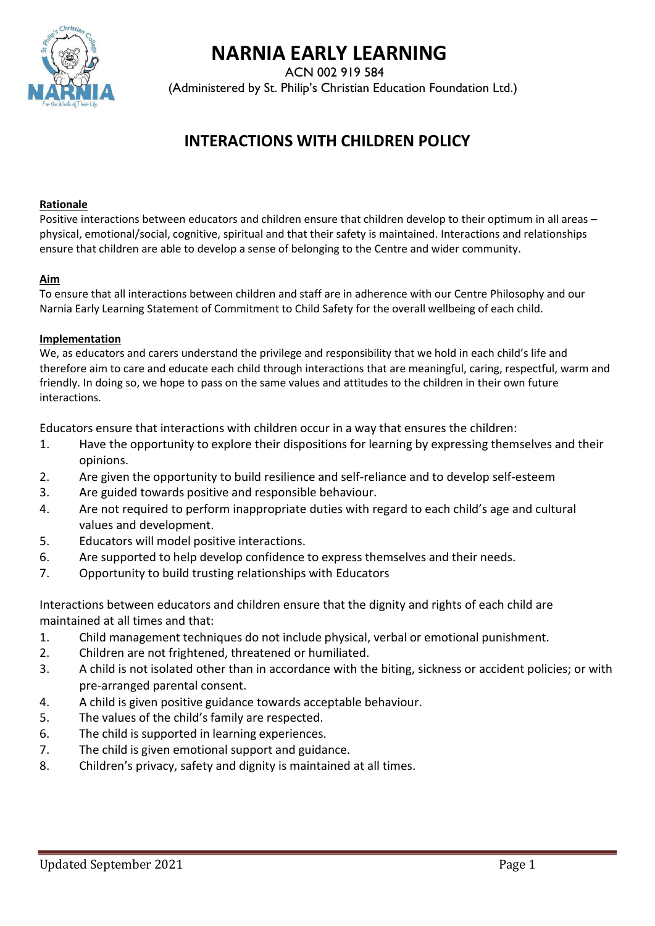

# **NARNIA EARLY LEARNING**

ACN 002 919 584

(Administered by St. Philip's Christian Education Foundation Ltd.)

## **INTERACTIONS WITH CHILDREN POLICY**

#### **Rationale**

Positive interactions between educators and children ensure that children develop to their optimum in all areas – physical, emotional/social, cognitive, spiritual and that their safety is maintained. Interactions and relationships ensure that children are able to develop a sense of belonging to the Centre and wider community.

#### **Aim**

To ensure that all interactions between children and staff are in adherence with our Centre Philosophy and our Narnia Early Learning Statement of Commitment to Child Safety for the overall wellbeing of each child.

#### **Implementation**

We, as educators and carers understand the privilege and responsibility that we hold in each child's life and therefore aim to care and educate each child through interactions that are meaningful, caring, respectful, warm and friendly. In doing so, we hope to pass on the same values and attitudes to the children in their own future interactions.

Educators ensure that interactions with children occur in a way that ensures the children:

- 1. Have the opportunity to explore their dispositions for learning by expressing themselves and their opinions.
- 2. Are given the opportunity to build resilience and self-reliance and to develop self-esteem
- 3. Are guided towards positive and responsible behaviour.
- 4. Are not required to perform inappropriate duties with regard to each child's age and cultural values and development.
- 5. Educators will model positive interactions.
- 6. Are supported to help develop confidence to express themselves and their needs.
- 7. Opportunity to build trusting relationships with Educators

Interactions between educators and children ensure that the dignity and rights of each child are maintained at all times and that:

- 1. Child management techniques do not include physical, verbal or emotional punishment.
- 2. Children are not frightened, threatened or humiliated.
- 3. A child is not isolated other than in accordance with the biting, sickness or accident policies; or with pre-arranged parental consent.
- 4. A child is given positive guidance towards acceptable behaviour.
- 5. The values of the child's family are respected.
- 6. The child is supported in learning experiences.
- 7. The child is given emotional support and guidance.
- 8. Children's privacy, safety and dignity is maintained at all times.